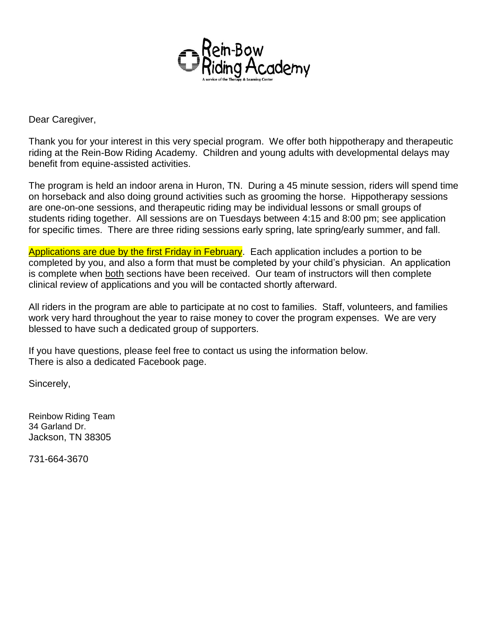

Dear Caregiver,

Thank you for your interest in this very special program. We offer both hippotherapy and therapeutic riding at the Rein-Bow Riding Academy. Children and young adults with developmental delays may benefit from equine-assisted activities.

The program is held an indoor arena in Huron, TN. During a 45 minute session, riders will spend time on horseback and also doing ground activities such as grooming the horse. Hippotherapy sessions are one-on-one sessions, and therapeutic riding may be individual lessons or small groups of students riding together. All sessions are on Tuesdays between 4:15 and 8:00 pm; see application for specific times. There are three riding sessions early spring, late spring/early summer, and fall.

Applications are due by the first Friday in February. Each application includes a portion to be completed by you, and also a form that must be completed by your child's physician. An application is complete when both sections have been received. Our team of instructors will then complete clinical review of applications and you will be contacted shortly afterward.

All riders in the program are able to participate at no cost to families. Staff, volunteers, and families work very hard throughout the year to raise money to cover the program expenses. We are very blessed to have such a dedicated group of supporters.

If you have questions, please feel free to contact us using the information below. There is also a dedicated Facebook page.

Sincerely,

Reinbow Riding Team 34 Garland Dr. Jackson, TN 38305

731-664-3670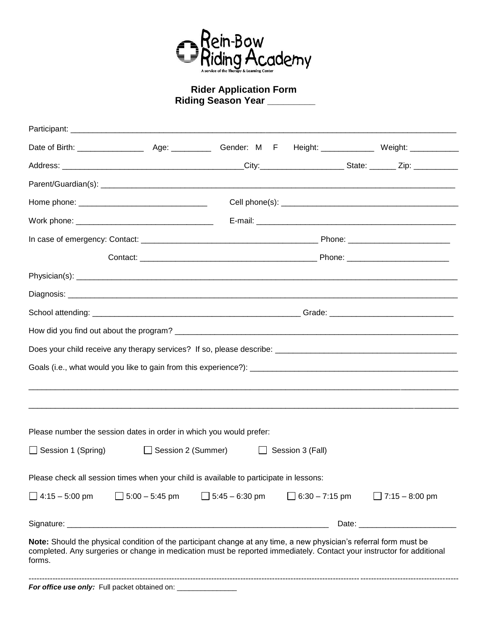

### **Rider Application Form Riding Season Year \_\_\_\_\_\_\_\_\_**

| Please number the session dates in order in which you would prefer:                                                                                                                                                                                   |                             |                       |                       |  |  |
|-------------------------------------------------------------------------------------------------------------------------------------------------------------------------------------------------------------------------------------------------------|-----------------------------|-----------------------|-----------------------|--|--|
| Session 2 (Summer)<br>Session 1 (Spring)                                                                                                                                                                                                              | $\mathcal{L}^{\mathcal{L}}$ | Session 3 (Fall)      |                       |  |  |
| Please check all session times when your child is available to participate in lessons:                                                                                                                                                                |                             |                       |                       |  |  |
| $\Box$ 5:00 - 5:45 pm<br>$\Box$ 4:15 - 5:00 pm                                                                                                                                                                                                        | $\Box$ 5:45 – 6:30 pm       | $\Box$ 6:30 – 7:15 pm | $\Box$ 7:15 – 8:00 pm |  |  |
|                                                                                                                                                                                                                                                       |                             |                       |                       |  |  |
| Note: Should the physical condition of the participant change at any time, a new physician's referral form must be<br>completed. Any surgeries or change in medication must be reported immediately. Contact your instructor for additional<br>forms. |                             |                       |                       |  |  |

------------------------------------------------------------------------------------------------------------------------------------------------------------------

*For office use only:* Full packet obtained on: \_\_\_\_\_\_\_\_\_\_\_\_\_\_\_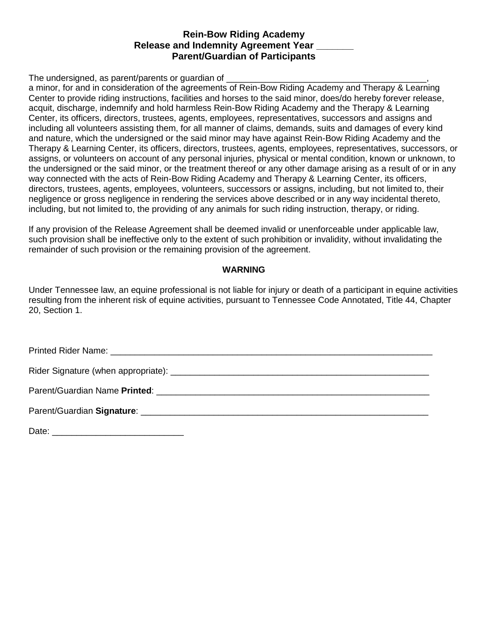### **Rein-Bow Riding Academy Release and Indemnity Agreement Year \_\_\_\_\_\_\_ Parent/Guardian of Participants**

The undersigned, as parent/parents or guardian of a minor, for and in consideration of the agreements of Rein-Bow Riding Academy and Therapy & Learning Center to provide riding instructions, facilities and horses to the said minor, does/do hereby forever release, acquit, discharge, indemnify and hold harmless Rein-Bow Riding Academy and the Therapy & Learning Center, its officers, directors, trustees, agents, employees, representatives, successors and assigns and including all volunteers assisting them, for all manner of claims, demands, suits and damages of every kind and nature, which the undersigned or the said minor may have against Rein-Bow Riding Academy and the Therapy & Learning Center, its officers, directors, trustees, agents, employees, representatives, successors, or assigns, or volunteers on account of any personal injuries, physical or mental condition, known or unknown, to the undersigned or the said minor, or the treatment thereof or any other damage arising as a result of or in any way connected with the acts of Rein-Bow Riding Academy and Therapy & Learning Center, its officers, directors, trustees, agents, employees, volunteers, successors or assigns, including, but not limited to, their negligence or gross negligence in rendering the services above described or in any way incidental thereto, including, but not limited to, the providing of any animals for such riding instruction, therapy, or riding.

If any provision of the Release Agreement shall be deemed invalid or unenforceable under applicable law, such provision shall be ineffective only to the extent of such prohibition or invalidity, without invalidating the remainder of such provision or the remaining provision of the agreement.

#### **WARNING**

Under Tennessee law, an equine professional is not liable for injury or death of a participant in equine activities resulting from the inherent risk of equine activities, pursuant to Tennessee Code Annotated, Title 44, Chapter 20, Section 1.

| Parent/Guardian Signature: Management of the Contract of the Contract of the Contract of the Contract of the Contract of the Contract of the Contract of the Contract of the Contract of the Contract of the Contract of the C |  |
|--------------------------------------------------------------------------------------------------------------------------------------------------------------------------------------------------------------------------------|--|
|                                                                                                                                                                                                                                |  |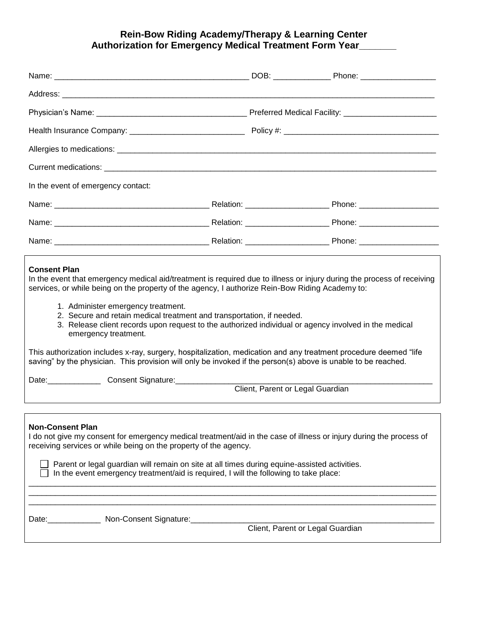### **Rein-Bow Riding Academy/Therapy & Learning Center Authorization for Emergency Medical Treatment Form Year\_\_\_\_\_\_\_**

| In the event of emergency contact:                                                                                                                                                                                                                                                                                                                                                                                                                                                                                                                                                                                                                                                                                                                                                       |  |  |  |  |  |
|------------------------------------------------------------------------------------------------------------------------------------------------------------------------------------------------------------------------------------------------------------------------------------------------------------------------------------------------------------------------------------------------------------------------------------------------------------------------------------------------------------------------------------------------------------------------------------------------------------------------------------------------------------------------------------------------------------------------------------------------------------------------------------------|--|--|--|--|--|
|                                                                                                                                                                                                                                                                                                                                                                                                                                                                                                                                                                                                                                                                                                                                                                                          |  |  |  |  |  |
|                                                                                                                                                                                                                                                                                                                                                                                                                                                                                                                                                                                                                                                                                                                                                                                          |  |  |  |  |  |
|                                                                                                                                                                                                                                                                                                                                                                                                                                                                                                                                                                                                                                                                                                                                                                                          |  |  |  |  |  |
| In the event that emergency medical aid/treatment is required due to illness or injury during the process of receiving<br>services, or while being on the property of the agency, I authorize Rein-Bow Riding Academy to:<br>1. Administer emergency treatment.<br>2. Secure and retain medical treatment and transportation, if needed.<br>3. Release client records upon request to the authorized individual or agency involved in the medical<br>emergency treatment.<br>This authorization includes x-ray, surgery, hospitalization, medication and any treatment procedure deemed "life<br>saving" by the physician. This provision will only be invoked if the person(s) above is unable to be reached.<br>Date: Consent Signature: Case 2014<br>Client, Parent or Legal Guardian |  |  |  |  |  |
| <b>Non-Consent Plan</b><br>I do not give my consent for emergency medical treatment/aid in the case of illness or injury during the process of<br>receiving services or while being on the property of the agency.<br>Parent or legal guardian will remain on site at all times during equine-assisted activities.<br>In the event emergency treatment/aid is required, I will the following to take place:                                                                                                                                                                                                                                                                                                                                                                              |  |  |  |  |  |
| Date: ________________ Non-Consent Signature: ___________________________________                                                                                                                                                                                                                                                                                                                                                                                                                                                                                                                                                                                                                                                                                                        |  |  |  |  |  |

Client, Parent or Legal Guardian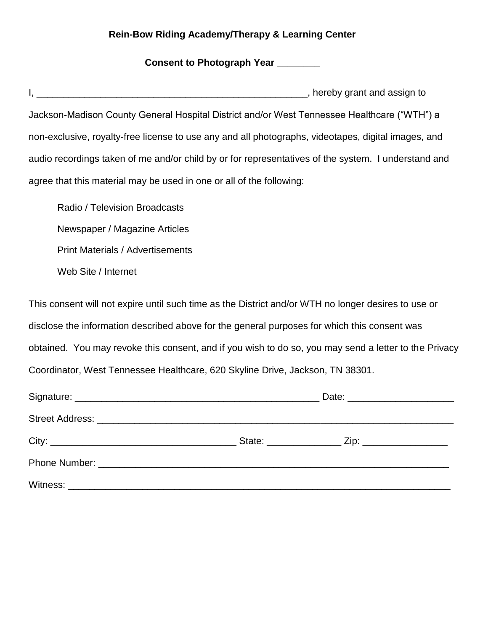# **Rein-Bow Riding Academy/Therapy & Learning Center**

# **Consent to Photograph Year \_\_\_\_\_\_\_\_**

| Jackson-Madison County General Hospital District and/or West Tennessee Healthcare ("WTH") a           |  |
|-------------------------------------------------------------------------------------------------------|--|
| non-exclusive, royalty-free license to use any and all photographs, videotapes, digital images, and   |  |
| audio recordings taken of me and/or child by or for representatives of the system. I understand and   |  |
| agree that this material may be used in one or all of the following:                                  |  |
| Radio / Television Broadcasts                                                                         |  |
| Newspaper / Magazine Articles                                                                         |  |
| <b>Print Materials / Advertisements</b>                                                               |  |
| Web Site / Internet                                                                                   |  |
| This consent will not expire until such time as the District and/or WTH no longer desires to use or   |  |
| disclose the information described above for the general purposes for which this consent was          |  |
| obtained. You may revoke this consent, and if you wish to do so, you may send a letter to the Privacy |  |
| Coordinator, West Tennessee Healthcare, 620 Skyline Drive, Jackson, TN 38301.                         |  |
|                                                                                                       |  |
|                                                                                                       |  |
|                                                                                                       |  |
|                                                                                                       |  |

Witness: \_\_\_\_\_\_\_\_\_\_\_\_\_\_\_\_\_\_\_\_\_\_\_\_\_\_\_\_\_\_\_\_\_\_\_\_\_\_\_\_\_\_\_\_\_\_\_\_\_\_\_\_\_\_\_\_\_\_\_\_\_\_\_\_\_\_\_\_\_\_\_\_